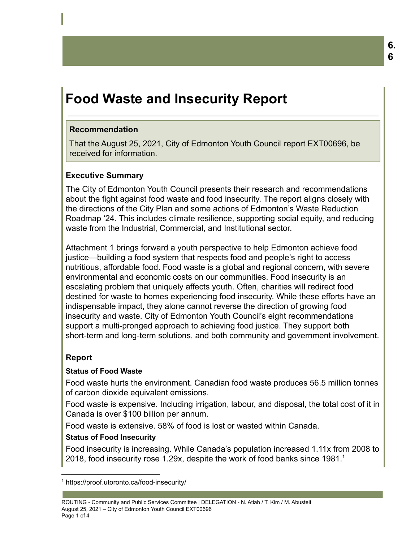# **Food Waste and Insecurity Report**

## **Recommendation**

That the August 25, 2021, City of Edmonton Youth Council report EXT00696, be received for information.

## **Executive Summary**

The City of Edmonton Youth Council presents their research and recommendations about the fight against food waste and food insecurity. The report aligns closely with the directions of the City Plan and some actions of Edmonton's Waste Reduction Roadmap '24. This includes climate resilience, supporting social equity, and reducing waste from the Industrial, Commercial, and Institutional sector.

Attachment 1 brings forward a youth perspective to help Edmonton achieve food justice―building a food system that respects food and people's right to access nutritious, affordable food. Food waste is a global and regional concern, with severe environmental and economic costs on our communities. Food insecurity is an escalating problem that uniquely affects youth. Often, charities will redirect food destined for waste to homes experiencing food insecurity. While these efforts have an indispensable impact, they alone cannot reverse the direction of growing food insecurity and waste. City of Edmonton Youth Council's eight recommendations support a multi-pronged approach to achieving food justice. They support both short-term and long-term solutions, and both community and government involvement.

# **Report**

## **Status of Food Waste**

Food waste hurts the environment. Canadian food waste produces 56.5 million tonnes of carbon dioxide equivalent emissions.

Food waste is expensive. Including irrigation, labour, and disposal, the total cost of it in Canada is over \$100 billion per annum.

Food waste is extensive. 58% of food is lost or wasted within Canada.

## **Status of Food Insecurity**

Food insecurity is increasing. While Canada's population increased 1.11x from 2008 to 2018, food insecurity rose 1.29x, despite the work of food banks since 1981.<sup>1</sup>

<sup>1</sup> https://proof.utoronto.ca/food-insecurity/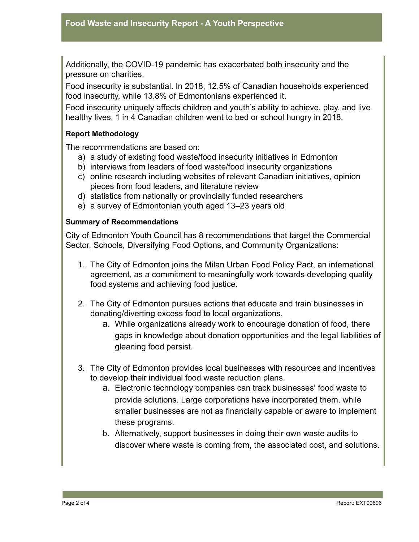Additionally, the COVID-19 pandemic has exacerbated both insecurity and the pressure on charities.

Food insecurity is substantial. In 2018, 12.5% of Canadian households experienced food insecurity, while 13.8% of Edmontonians experienced it.

Food insecurity uniquely affects children and youth's ability to achieve, play, and live healthy lives. 1 in 4 Canadian children went to bed or school hungry in 2018.

#### **Report Methodology**

The recommendations are based on:

- a) a study of existing food waste/food insecurity initiatives in Edmonton
- b) interviews from leaders of food waste/food insecurity organizations
- c) online research including websites of relevant Canadian initiatives, opinion pieces from food leaders, and literature review
- d) statistics from nationally or provincially funded researchers
- e) a survey of Edmontonian youth aged 13–23 years old

#### **Summary of Recommendations**

City of Edmonton Youth Council has 8 recommendations that target the Commercial Sector, Schools, Diversifying Food Options, and Community Organizations:

- 1. The City of Edmonton joins the Milan Urban Food Policy Pact, an international agreement, as a commitment to meaningfully work towards developing quality food systems and achieving food justice.
- 2. The City of Edmonton pursues actions that educate and train businesses in donating/diverting excess food to local organizations.
	- a. While organizations already work to encourage donation of food, there gaps in knowledge about donation opportunities and the legal liabilities of gleaning food persist.
- 3. The City of Edmonton provides local businesses with resources and incentives to develop their individual food waste reduction plans.
	- a. Electronic technology companies can track businesses' food waste to provide solutions. Large corporations have incorporated them, while smaller businesses are not as financially capable or aware to implement these programs.
	- b. Alternatively, support businesses in doing their own waste audits to discover where waste is coming from, the associated cost, and solutions.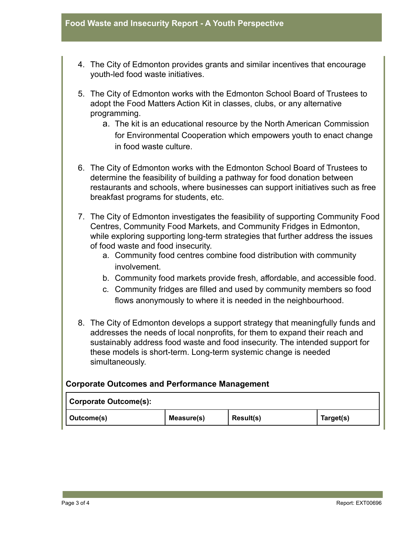- 4. The City of Edmonton provides grants and similar incentives that encourage youth-led food waste initiatives.
- 5. The City of Edmonton works with the Edmonton School Board of Trustees to adopt the Food Matters Action Kit in classes, clubs, or any alternative programming.
	- a. The kit is an educational resource by the North American Commission for Environmental Cooperation which empowers youth to enact change in food waste culture.
- 6. The City of Edmonton works with the Edmonton School Board of Trustees to determine the feasibility of building a pathway for food donation between restaurants and schools, where businesses can support initiatives such as free breakfast programs for students, etc.
- 7. The City of Edmonton investigates the feasibility of supporting Community Food Centres, Community Food Markets, and Community Fridges in Edmonton, while exploring supporting long-term strategies that further address the issues of food waste and food insecurity.
	- a. Community food centres combine food distribution with community involvement.
	- b. Community food markets provide fresh, affordable, and accessible food.
	- c. Community fridges are filled and used by community members so food flows anonymously to where it is needed in the neighbourhood.
- 8. The City of Edmonton develops a support strategy that meaningfully funds and addresses the needs of local nonprofits, for them to expand their reach and sustainably address food waste and food insecurity. The intended support for these models is short-term. Long-term systemic change is needed simultaneously.

## **Corporate Outcomes and Performance Management**

|  | Corporate Outcome(s): |            |           |           |  |
|--|-----------------------|------------|-----------|-----------|--|
|  | Outcome(s)            | Measure(s) | Result(s) | Target(s) |  |